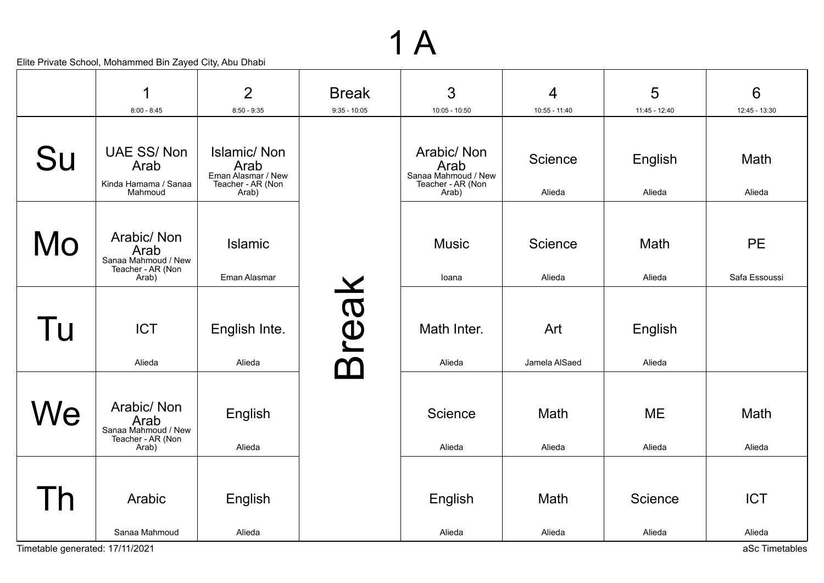|                                 | 1                                                                        | $\overline{2}$                                                                 | <b>Break</b>   | 3                                                                       | $\overline{4}$       | 5                   | 6                          |
|---------------------------------|--------------------------------------------------------------------------|--------------------------------------------------------------------------------|----------------|-------------------------------------------------------------------------|----------------------|---------------------|----------------------------|
|                                 | $8:00 - 8:45$                                                            | $8:50 - 9:35$                                                                  | $9:35 - 10:05$ | 10:05 - 10:50                                                           | 10:55 - 11:40        | 11:45 - 12:40       | 12:45 - 13:30              |
| Su                              | <b>UAE SS/Non</b><br>Arab<br>Kinda Hamama / Sanaa<br>Mahmoud             | <b>Islamic/Non</b><br>Arab<br>Eman Alasmar / New<br>Teacher - AR (Non<br>Arab) |                | Arabic/Non<br>Arab<br>Sanaa Mahmoud / New<br>Teacher - AR (Non<br>Arab) | Science<br>Alieda    | English<br>Alieda   | Math<br>Alieda             |
| Mo                              | Arabic/Non<br>Arab<br>Sanaa Mahmoud / New<br>Teacher - AR (Non<br>Arab)  | <b>Islamic</b><br>Eman Alasmar                                                 |                | <b>Music</b><br>loana                                                   | Science<br>Alieda    | Math<br>Alieda      | <b>PE</b><br>Safa Essoussi |
| Tu                              | <b>ICT</b><br>Alieda                                                     | English Inte.<br>Alieda                                                        | reak           | Math Inter.<br>Alieda                                                   | Art<br>Jamela AlSaed | English<br>Alieda   |                            |
| Ne                              | Arabic/ Non<br>Arab<br>Sanaa Mahmoud / New<br>Teacher - AR (Non<br>Arab) | English<br>Alieda                                                              |                | Science<br>Alieda                                                       | Math<br>Alieda       | <b>ME</b><br>Alieda | Math<br>Alieda             |
| $\overline{h}$                  | Arabic<br>Sanaa Mahmoud                                                  | English<br>Alieda                                                              |                | English<br>Alieda                                                       | Math<br>Alieda       | Science<br>Alieda   | <b>ICT</b><br>Alieda       |
| Timetable generated: 17/11/2021 |                                                                          |                                                                                |                |                                                                         |                      |                     | aSc Timetables             |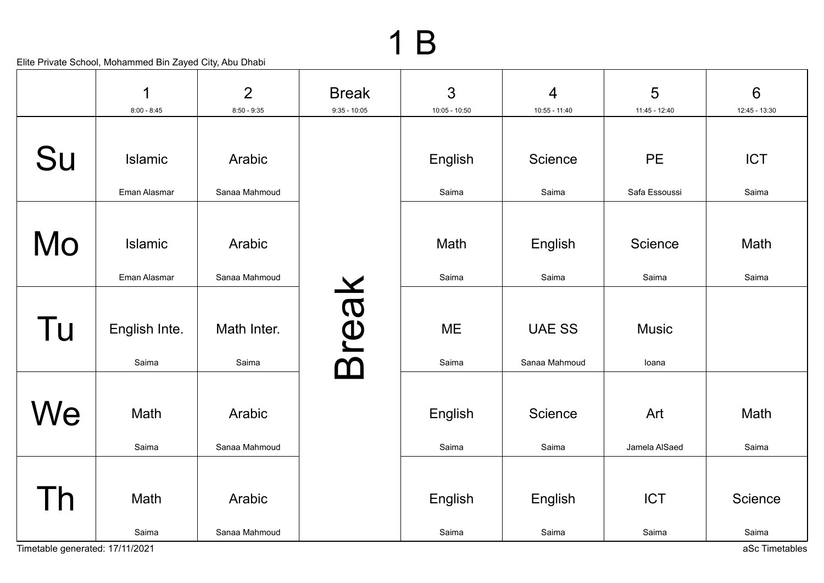|                         | 1<br>$8:00 - 8:45$     | $\overline{2}$<br>$8:50 - 9:35$ | <b>Break</b><br>$9:35 - 10:05$ | 3<br>$10:05 - 10:50$ | $\overline{4}$<br>10:55 - 11:40 | 5<br>11:45 - 12:40    | $6\phantom{1}$<br>12:45 - 13:30 |
|-------------------------|------------------------|---------------------------------|--------------------------------|----------------------|---------------------------------|-----------------------|---------------------------------|
|                         |                        |                                 |                                |                      |                                 |                       |                                 |
| Su                      | Islamic                | Arabic                          |                                | English              | Science                         | <b>PE</b>             | <b>ICT</b>                      |
|                         | Eman Alasmar           | Sanaa Mahmoud                   |                                | Saima                | Saima                           | Safa Essoussi         | Saima                           |
| Mo                      | Islamic                | Arabic                          |                                | Math                 | English                         | Science               | Math                            |
|                         | Eman Alasmar           | Sanaa Mahmoud                   |                                | Saima                | Saima                           | Saima                 | Saima                           |
| Tu                      | English Inte.<br>Saima | Math Inter.<br>Saima            | sreak<br>$\mathbf 0$           | <b>ME</b><br>Saima   | <b>UAE SS</b><br>Sanaa Mahmoud  | <b>Music</b><br>loana |                                 |
| We                      | Math<br>Saima          | Arabic<br>Sanaa Mahmoud         |                                | English<br>Saima     | Science<br>Saima                | Art<br>Jamela AlSaed  | Math<br>Saima                   |
| $\overline{\mathsf{n}}$ | Math<br>Saima          | Arabic<br>Sanaa Mahmoud         |                                | English<br>Saima     | English<br>Saima                | <b>ICT</b><br>Saima   | Science<br>Saima                |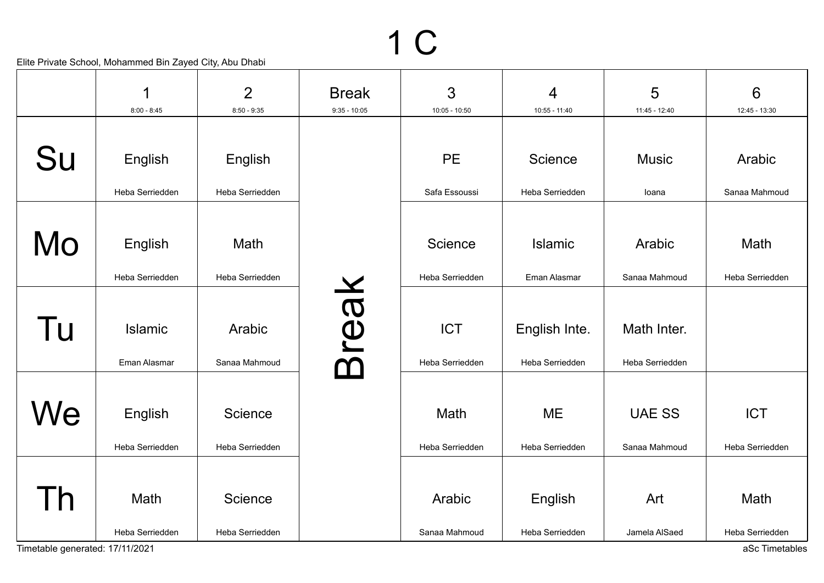|                                 | 1<br>$8:00 - 8:45$         | $\overline{2}$<br>$8:50 - 9:35$ | <b>Break</b><br>$9:35 - 10:05$ | $\mathfrak{S}$<br>10:05 - 10:50 | $\overline{4}$<br>10:55 - 11:40 | 5<br>11:45 - 12:40             | 6<br>12:45 - 13:30                |
|---------------------------------|----------------------------|---------------------------------|--------------------------------|---------------------------------|---------------------------------|--------------------------------|-----------------------------------|
|                                 |                            |                                 |                                |                                 |                                 |                                |                                   |
| Su                              | English                    | English                         |                                | <b>PE</b>                       | Science                         | <b>Music</b>                   | Arabic                            |
|                                 | Heba Serriedden            | Heba Serriedden                 |                                | Safa Essoussi                   | Heba Serriedden                 | loana                          | Sanaa Mahmoud                     |
| Mo                              | English<br>Heba Serriedden | Math<br>Heba Serriedden         |                                | Science<br>Heba Serriedden      | <b>Islamic</b><br>Eman Alasmar  | Arabic<br>Sanaa Mahmoud        | Math<br>Heba Serriedden           |
|                                 |                            |                                 |                                |                                 |                                 |                                |                                   |
| Tu                              | Islamic                    | Arabic                          | reak                           | <b>ICT</b>                      | English Inte.                   | Math Inter.                    |                                   |
|                                 | Eman Alasmar               | Sanaa Mahmoud                   | $\bar{\mathbf{m}}$             | Heba Serriedden                 | Heba Serriedden                 | Heba Serriedden                |                                   |
| We                              | English<br>Heba Serriedden | Science<br>Heba Serriedden      |                                | Math<br>Heba Serriedden         | <b>ME</b><br>Heba Serriedden    | <b>UAE SS</b><br>Sanaa Mahmoud | <b>ICT</b><br>Heba Serriedden     |
|                                 |                            |                                 |                                |                                 |                                 |                                |                                   |
| $\overline{h}$                  | Math                       | Science                         |                                | Arabic                          | English                         | Art                            | Math                              |
| Timetable generated: 17/11/2021 | Heba Serriedden            | Heba Serriedden                 |                                | Sanaa Mahmoud                   | Heba Serriedden                 | Jamela AlSaed                  | Heba Serriedden<br>aSc Timetables |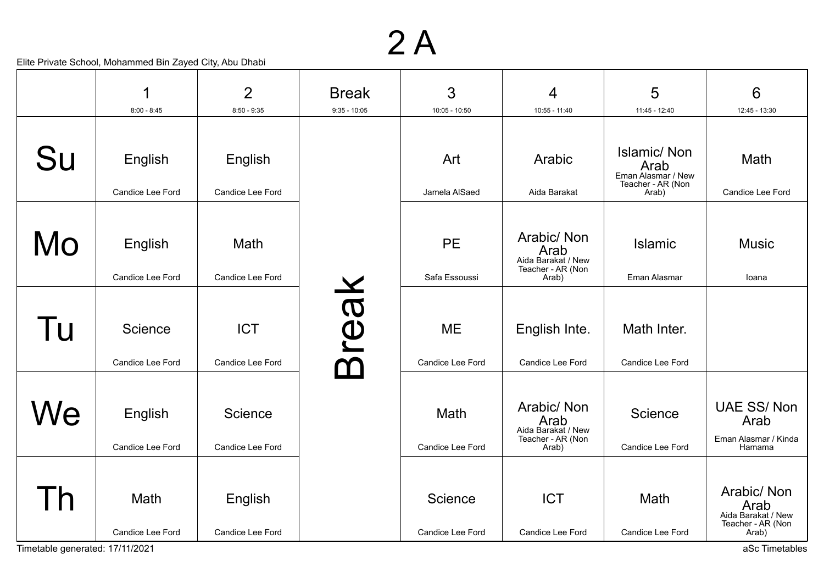|                                 | 1                           | $\overline{2}$                  | <b>Break</b>   | 3                                    | 4                                                                      | 5                                                                     | 6                                                              |
|---------------------------------|-----------------------------|---------------------------------|----------------|--------------------------------------|------------------------------------------------------------------------|-----------------------------------------------------------------------|----------------------------------------------------------------|
|                                 | $8:00 - 8:45$               | $8:50 - 9:35$                   | $9:35 - 10:05$ | $10:05 - 10:50$                      | 10:55 - 11:40                                                          | 11:45 - 12:40                                                         | 12:45 - 13:30                                                  |
| Su                              | English                     | English                         |                | Art                                  | Arabic                                                                 | <b>Islamic/Non</b><br>Arab<br>Eman Alasmar / New<br>Teacher - AR (Non | Math                                                           |
|                                 | Candice Lee Ford            | Candice Lee Ford                |                | Jamela AlSaed                        | Aida Barakat                                                           | Arab)                                                                 | Candice Lee Ford                                               |
| Mo                              | English<br>Candice Lee Ford | Math<br><b>Candice Lee Ford</b> |                | <b>PE</b><br>Safa Essoussi           | Arabic/Non<br>Arab<br>Aida Barakat / New<br>Teacher - AR (Non<br>Arab) | <b>Islamic</b><br>Eman Alasmar                                        | <b>Music</b><br>loana                                          |
|                                 |                             |                                 |                |                                      |                                                                        |                                                                       |                                                                |
| Tu                              | Science<br>Candice Lee Ford | <b>ICT</b><br>Candice Lee Ford  | reak<br>ᡗ      | <b>ME</b><br><b>Candice Lee Ford</b> | English Inte.<br>Candice Lee Ford                                      | Math Inter.<br>Candice Lee Ford                                       |                                                                |
|                                 |                             |                                 |                |                                      |                                                                        |                                                                       |                                                                |
| We                              | English                     | Science                         |                | Math                                 | Arabic/ Non<br>Arab<br>Aida Barakat / New                              | Science                                                               | <b>UAE SS/Non</b><br>Arab                                      |
|                                 | Candice Lee Ford            | Candice Lee Ford                |                | Candice Lee Ford                     | Teacher - AR (Non<br>Arab)                                             | Candice Lee Ford                                                      | Eman Alasmar / Kinda<br>Hamama                                 |
|                                 | Math<br>Candice Lee Ford    | English<br>Candice Lee Ford     |                | Science<br>Candice Lee Ford          | <b>ICT</b><br>Candice Lee Ford                                         | Math<br>Candice Lee Ford                                              | Arabic/ Non<br>Arab<br>Aida Barakat / New<br>Teacher - AR (Non |
| Timetable generated: 17/11/2021 |                             |                                 |                |                                      |                                                                        |                                                                       | Arab)<br>aSc Timetables                                        |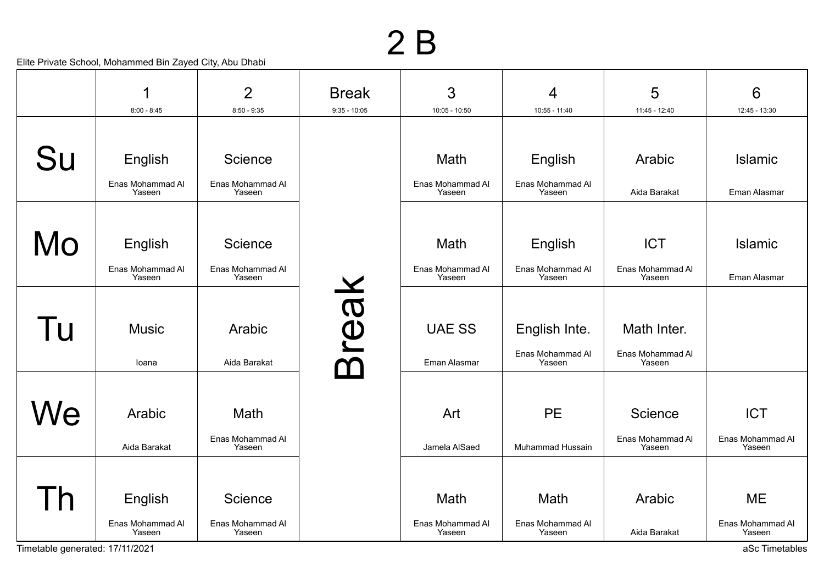|                                 |                            | $\overline{2}$             | <b>Break</b>   | $\mathfrak{S}$             | $\overline{4}$             | 5                          | 6                          |
|---------------------------------|----------------------------|----------------------------|----------------|----------------------------|----------------------------|----------------------------|----------------------------|
|                                 | $8:00 - 8:45$              | $8:50 - 9:35$              | $9:35 - 10:05$ | $10:05 - 10:50$            | $10:55 - 11:40$            | 11:45 - 12:40              | 12:45 - 13:30              |
|                                 |                            |                            |                |                            |                            |                            |                            |
| Su                              | English                    | Science                    |                | Math                       | English                    | Arabic                     | Islamic                    |
|                                 | Enas Mohammad Al<br>Yaseen | Enas Mohammad Al<br>Yaseen |                | Enas Mohammad Al<br>Yaseen | Enas Mohammad Al<br>Yaseen | Aida Barakat               | Eman Alasmar               |
|                                 |                            |                            |                |                            |                            |                            |                            |
| Mo                              | English                    | Science                    |                | Math                       | English                    | <b>ICT</b>                 | <b>Islamic</b>             |
|                                 | Enas Mohammad Al<br>Yaseen | Enas Mohammad Al<br>Yaseen |                | Enas Mohammad Al<br>Yaseen | Enas Mohammad Al<br>Yaseen | Enas Mohammad Al<br>Yaseen | Eman Alasmar               |
|                                 |                            |                            |                |                            |                            |                            |                            |
| Tu                              | <b>Music</b>               | Arabic                     | reak           | <b>UAE SS</b>              | English Inte.              | Math Inter.                |                            |
|                                 | loana                      | Aida Barakat               |                | Eman Alasmar               | Enas Mohammad Al<br>Yaseen | Enas Mohammad Al<br>Yaseen |                            |
|                                 |                            |                            |                |                            |                            |                            |                            |
| Ve                              | Arabic                     | Math                       |                | Art                        | <b>PE</b>                  | Science                    | <b>ICT</b>                 |
|                                 | Aida Barakat               | Enas Mohammad Al<br>Yaseen |                | Jamela AlSaed              | Muhammad Hussain           | Enas Mohammad Al<br>Yaseen | Enas Mohammad Al<br>Yaseen |
|                                 |                            |                            |                |                            |                            |                            |                            |
| $\mathsf{D}$                    | English                    | Science                    |                | Math                       | Math                       | Arabic                     | <b>ME</b>                  |
|                                 | Enas Mohammad Al<br>Yaseen | Enas Mohammad Al<br>Yaseen |                | Enas Mohammad Al<br>Yaseen | Enas Mohammad Al<br>Yaseen | Aida Barakat               | Enas Mohammad Al<br>Yaseen |
| Timetable generated: 17/11/2021 |                            |                            |                |                            |                            |                            | aSc Timetables             |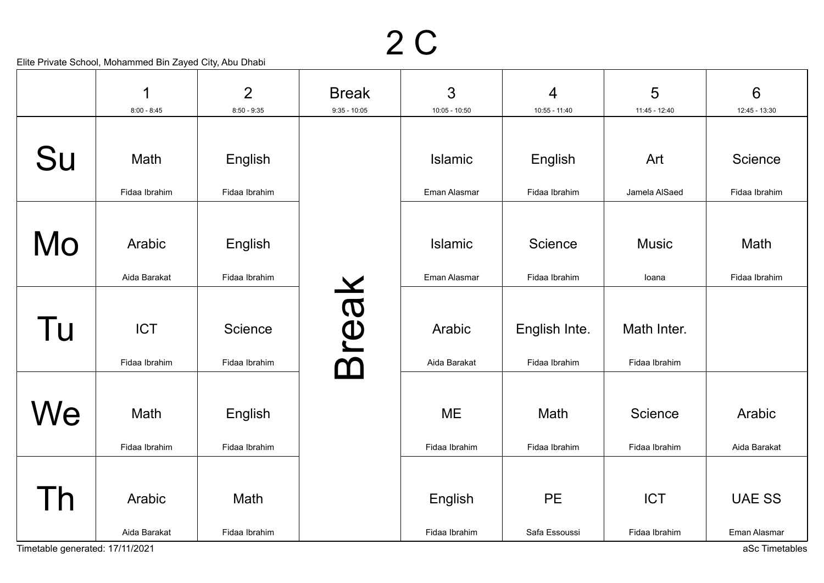|                                 | 1<br>$8:00 - 8:45$ | $\overline{2}$<br>$8:50 - 9:35$ | <b>Break</b><br>$9:35 - 10:05$ | 3<br>$10:05 - 10:50$ | $\overline{4}$<br>10:55 - 11:40 | 5<br>11:45 - 12:40 | $6\phantom{1}$<br>12:45 - 13:30 |
|---------------------------------|--------------------|---------------------------------|--------------------------------|----------------------|---------------------------------|--------------------|---------------------------------|
|                                 |                    |                                 |                                |                      |                                 |                    |                                 |
| Su                              | Math               | English                         |                                | Islamic              | English                         | Art                | Science                         |
|                                 | Fidaa Ibrahim      | Fidaa Ibrahim                   |                                | Eman Alasmar         | Fidaa Ibrahim                   | Jamela AlSaed      | Fidaa Ibrahim                   |
|                                 |                    |                                 |                                |                      |                                 |                    |                                 |
| Mo                              | Arabic             | English                         |                                | Islamic              | Science                         | <b>Music</b>       | Math                            |
|                                 | Aida Barakat       | Fidaa Ibrahim                   |                                | Eman Alasmar         | Fidaa Ibrahim                   | loana              | Fidaa Ibrahim                   |
|                                 |                    |                                 |                                |                      |                                 |                    |                                 |
| Tu                              | <b>ICT</b>         | Science                         | reak                           | Arabic               | English Inte.                   | Math Inter.        |                                 |
|                                 | Fidaa Ibrahim      | Fidaa Ibrahim                   |                                | Aida Barakat         | Fidaa Ibrahim                   | Fidaa Ibrahim      |                                 |
|                                 |                    |                                 |                                |                      |                                 |                    |                                 |
| We                              | Math               | English                         |                                | <b>ME</b>            | Math                            | Science            | Arabic                          |
|                                 | Fidaa Ibrahim      | Fidaa Ibrahim                   |                                | Fidaa Ibrahim        | Fidaa Ibrahim                   | Fidaa Ibrahim      | Aida Barakat                    |
|                                 |                    |                                 |                                |                      |                                 |                    |                                 |
| $\overline{h}$                  | Arabic             | Math                            |                                | English              | <b>PE</b>                       | <b>ICT</b>         | <b>UAE SS</b>                   |
|                                 | Aida Barakat       | Fidaa Ibrahim                   |                                | Fidaa Ibrahim        | Safa Essoussi                   | Fidaa Ibrahim      | Eman Alasmar                    |
| Timetable generated: 17/11/2021 |                    |                                 |                                |                      |                                 |                    | aSc Timetables                  |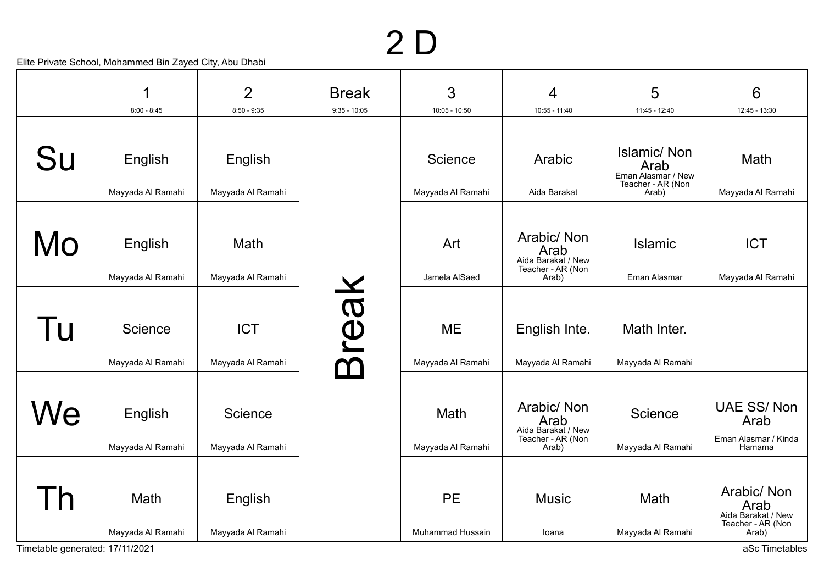# 2 D

|    |                              | $\overline{2}$                  | <b>Break</b>     | 3                              | 4                                                                      | 5                                                                       | 6                                                                       |
|----|------------------------------|---------------------------------|------------------|--------------------------------|------------------------------------------------------------------------|-------------------------------------------------------------------------|-------------------------------------------------------------------------|
|    | $8:00 - 8:45$                | $8:50 - 9:35$                   | $9:35 - 10:05$   | $10:05 - 10:50$                | 10:55 - 11:40                                                          | 11:45 - 12:40                                                           | 12:45 - 13:30                                                           |
| Su | English<br>Mayyada Al Ramahi | English<br>Mayyada Al Ramahi    |                  | Science<br>Mayyada Al Ramahi   | Arabic<br>Aida Barakat                                                 | Islamic/Non<br>Arab<br>Eman Alasmar / New<br>Teacher - AR (Non<br>Arab) | Math<br>Mayyada Al Ramahi                                               |
| Mo | English<br>Mayyada Al Ramahi | Math<br>Mayyada Al Ramahi       |                  | Art<br>Jamela AlSaed           | Arabic/Non<br>Arab<br>Aida Barakat / New<br>Teacher - AR (Non<br>Arab) | <b>Islamic</b><br>Eman Alasmar                                          | <b>ICT</b><br>Mayyada Al Ramahi                                         |
| Tu | Science<br>Mayyada Al Ramahi | <b>ICT</b><br>Mayyada Al Ramahi | reak<br>$\Delta$ | <b>ME</b><br>Mayyada Al Ramahi | English Inte.<br>Mayyada Al Ramahi                                     | Math Inter.<br>Mayyada Al Ramahi                                        |                                                                         |
| We | English<br>Mayyada Al Ramahi | Science<br>Mayyada Al Ramahi    |                  | Math<br>Mayyada Al Ramahi      | Arabic/Non<br>Arab<br>Aida Barakat / New<br>Teacher - AR (Non<br>Arab) | Science<br>Mayyada Al Ramahi                                            | <b>UAE SS/Non</b><br>Arab<br>Eman Alasmar / Kinda<br>Hamama             |
| Γh | Math<br>Mayyada Al Ramahi    | English<br>Mayyada Al Ramahi    |                  | PE<br>Muhammad Hussain         | <b>Music</b><br>loana                                                  | Math<br>Mayyada Al Ramahi                                               | Arabic/ Non<br>Arab<br>Aida Barakat / New<br>Teacher - AR (Non<br>Arab) |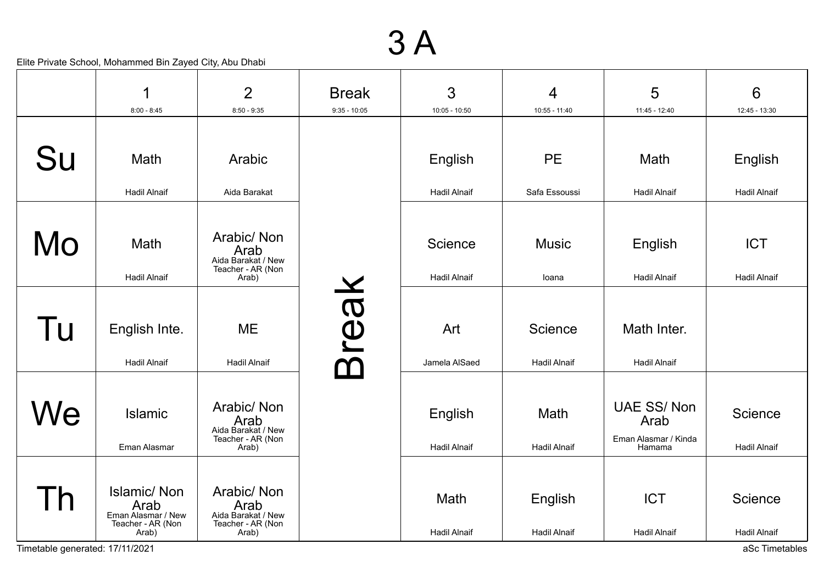|                                             | 1                                                                              | $\overline{2}$                                                          | <b>Break</b>   | 3                              | $\overline{4}$                 | 5                                                           | $6\phantom{1}6$                                  |
|---------------------------------------------|--------------------------------------------------------------------------------|-------------------------------------------------------------------------|----------------|--------------------------------|--------------------------------|-------------------------------------------------------------|--------------------------------------------------|
|                                             | $8:00 - 8:45$                                                                  | $8:50 - 9:35$                                                           | $9:35 - 10:05$ | 10:05 - 10:50                  | 10:55 - 11:40                  | 11:45 - 12:40                                               | 12:45 - 13:30                                    |
| Su                                          | Math                                                                           | Arabic                                                                  |                | English                        | <b>PE</b>                      | Math                                                        | English                                          |
|                                             | <b>Hadil Alnaif</b>                                                            | Aida Barakat                                                            |                | <b>Hadil Alnaif</b>            | Safa Essoussi                  | <b>Hadil Alnaif</b>                                         | <b>Hadil Alnaif</b>                              |
| Mo                                          | Math<br><b>Hadil Alnaif</b>                                                    | Arabic/Non<br>Arab<br>Aida Barakat / New<br>Teacher - AR (Non<br>Arab)  |                | Science<br><b>Hadil Alnaif</b> | <b>Music</b><br>loana          | English<br><b>Hadil Alnaif</b>                              | <b>ICT</b><br><b>Hadil Alnaif</b>                |
| Tu                                          | English Inte.<br><b>Hadil Alnaif</b>                                           | <b>ME</b><br><b>Hadil Alnaif</b>                                        | reak           | Art<br>Jamela AlSaed           | Science<br><b>Hadil Alnaif</b> | Math Inter.<br><b>Hadil Alnaif</b>                          |                                                  |
| We                                          | <b>Islamic</b><br>Eman Alasmar                                                 | Arabic/ Non<br>Arab<br>Aida Barakat / New<br>Teacher - AR (Non<br>Arab) |                | English<br><b>Hadil Alnaif</b> | Math<br><b>Hadil Alnaif</b>    | <b>UAE SS/Non</b><br>Arab<br>Eman Alasmar / Kinda<br>Hamama | Science<br><b>Hadil Alnaif</b>                   |
| <b>h</b><br>Timetable generated: 17/11/2021 | <b>Islamic/Non</b><br>Arab<br>Eman Alasmar / New<br>Teacher - AR (Non<br>Arab) | Arabic/ Non<br>Arab<br>Aida Barakat / New<br>Teacher - AR (Non<br>Arab) |                | Math<br><b>Hadil Alnaif</b>    | English<br><b>Hadil Alnaif</b> | <b>ICT</b><br><b>Hadil Alnaif</b>                           | Science<br><b>Hadil Alnaif</b><br>aSc Timetables |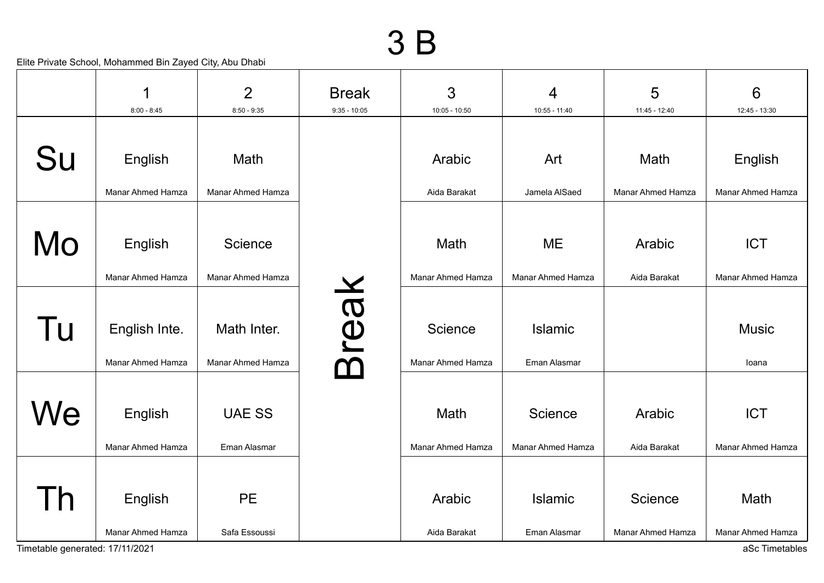|                                       | 1                                  | $\overline{2}$                   | <b>Break</b>   | 3                                   | 4                                     | 5                            | 6                                           |
|---------------------------------------|------------------------------------|----------------------------------|----------------|-------------------------------------|---------------------------------------|------------------------------|---------------------------------------------|
|                                       | $8:00 - 8:45$                      | $8:50 - 9:35$                    | $9:35 - 10:05$ | $10:05 - 10:50$                     | 10:55 - 11:40                         | 11:45 - 12:40                | 12:45 - 13:30                               |
| Su                                    | English                            | Math                             |                | Arabic                              | Art                                   | Math                         | English                                     |
|                                       | Manar Ahmed Hamza                  | Manar Ahmed Hamza                |                | Aida Barakat                        | Jamela AlSaed                         | <b>Manar Ahmed Hamza</b>     | Manar Ahmed Hamza                           |
| Mo                                    | English<br>Manar Ahmed Hamza       | Science<br>Manar Ahmed Hamza     |                | Math<br><b>Manar Ahmed Hamza</b>    | <b>ME</b><br><b>Manar Ahmed Hamza</b> | Arabic<br>Aida Barakat       | <b>ICT</b><br>Manar Ahmed Hamza             |
| Tu                                    | English Inte.<br>Manar Ahmed Hamza | Math Inter.<br>Manar Ahmed Hamza | <b>Teak</b>    | Science<br><b>Manar Ahmed Hamza</b> | <b>Islamic</b><br>Eman Alasmar        |                              | <b>Music</b><br>Ioana                       |
| We                                    | English<br>Manar Ahmed Hamza       | <b>UAE SS</b><br>Eman Alasmar    |                | Math<br><b>Manar Ahmed Hamza</b>    | Science<br>Manar Ahmed Hamza          | Arabic<br>Aida Barakat       | <b>ICT</b><br>Manar Ahmed Hamza             |
| Th<br>Timetable generated: 17/11/2021 | English<br>Manar Ahmed Hamza       | <b>PE</b><br>Safa Essoussi       |                | Arabic<br>Aida Barakat              | <b>Islamic</b><br>Eman Alasmar        | Science<br>Manar Ahmed Hamza | Math<br>Manar Ahmed Hamza<br>aSc Timetables |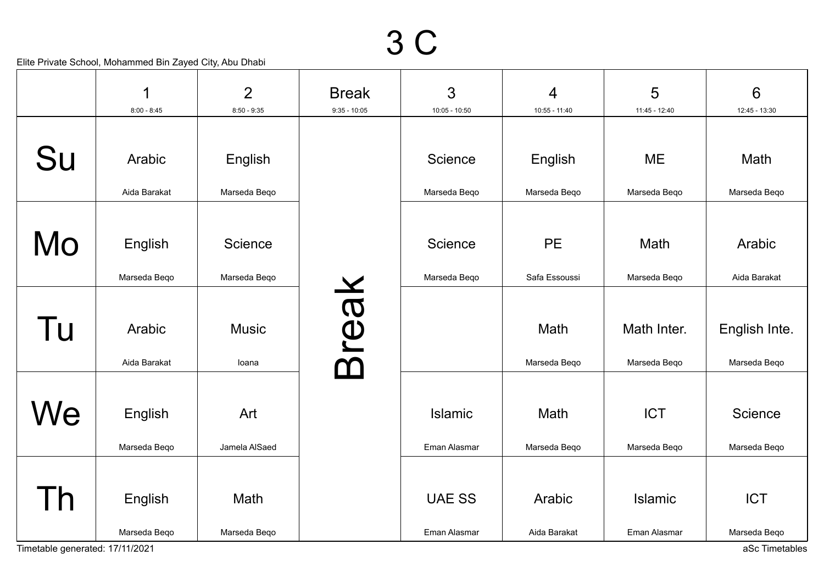|                                 | 1<br>$8:00 - 8:45$ | $\overline{2}$<br>$8:50 - 9:35$ | <b>Break</b><br>$9:35 - 10:05$ | 3<br>$10:05 - 10:50$ | $\overline{4}$<br>$10:55 - 11:40$ | 5<br>11:45 - 12:40 | $6\phantom{1}$<br>12:45 - 13:30 |
|---------------------------------|--------------------|---------------------------------|--------------------------------|----------------------|-----------------------------------|--------------------|---------------------------------|
|                                 |                    |                                 |                                |                      |                                   |                    |                                 |
| Su                              | Arabic             | English                         |                                | Science              | English                           | <b>ME</b>          | Math                            |
|                                 | Aida Barakat       | Marseda Beqo                    |                                | Marseda Beqo         | Marseda Beqo                      | Marseda Beqo       | Marseda Beqo                    |
|                                 |                    |                                 |                                |                      |                                   |                    |                                 |
| Mo                              | English            | Science                         |                                | Science              | <b>PE</b>                         | Math               | Arabic                          |
|                                 | Marseda Beqo       | Marseda Beqo                    |                                | Marseda Beqo         | Safa Essoussi                     | Marseda Beqo       | Aida Barakat                    |
|                                 |                    |                                 |                                |                      |                                   |                    |                                 |
| Tu                              | Arabic             | <b>Music</b>                    | Break                          |                      | Math                              | Math Inter.        | English Inte.                   |
|                                 | Aida Barakat       | loana                           |                                |                      | Marseda Beqo                      | Marseda Beqo       | Marseda Beqo                    |
|                                 |                    |                                 |                                |                      |                                   |                    |                                 |
| We                              | English            | Art                             |                                | Islamic              | Math                              | <b>ICT</b>         | Science                         |
|                                 | Marseda Beqo       | Jamela AlSaed                   |                                | Eman Alasmar         | Marseda Beqo                      | Marseda Beqo       | Marseda Beqo                    |
|                                 |                    |                                 |                                |                      |                                   |                    |                                 |
| Τh                              | English            | Math                            |                                | <b>UAE SS</b>        | Arabic                            | <b>Islamic</b>     | <b>ICT</b>                      |
|                                 | Marseda Beqo       | Marseda Beqo                    |                                | Eman Alasmar         | Aida Barakat                      | Eman Alasmar       | Marseda Beqo                    |
| Timetable generated: 17/11/2021 |                    |                                 |                                |                      |                                   |                    | aSc Timetables                  |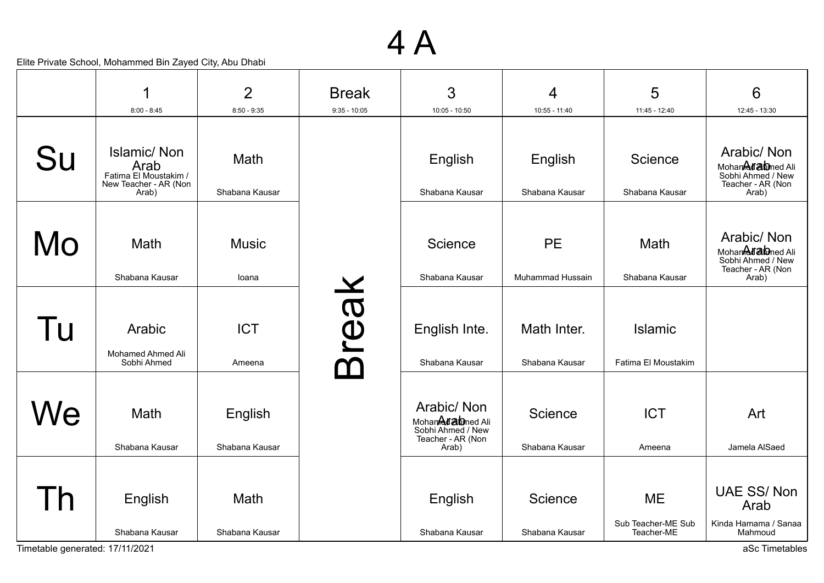|                | 1                                                                                     | $\overline{2}$                | <b>Break</b>   | 3                                                                                  | 4                             | 5                                             | 6                                                                                   |
|----------------|---------------------------------------------------------------------------------------|-------------------------------|----------------|------------------------------------------------------------------------------------|-------------------------------|-----------------------------------------------|-------------------------------------------------------------------------------------|
|                | $8:00 - 8:45$                                                                         | $8:50 - 9:35$                 | $9:35 - 10:05$ | $10:05 - 10:50$                                                                    | 10:55 - 11:40                 | $11:45 - 12:40$                               | 12:45 - 13:30                                                                       |
| Su             | <b>Islamic/Non</b><br>Arab<br>Fatima El Moustakim /<br>New Teacher - AR (Non<br>Arab) | <b>Math</b><br>Shabana Kausar |                | English<br>Shabana Kausar                                                          | English<br>Shabana Kausar     | Science<br>Shabana Kausar                     | Arabic/ Non<br>MohanAfabned Ali<br>Sobhi Ahmed / New<br>Teacher - AR (Non<br>Arab)  |
| Mo             | Math<br>Shabana Kausar                                                                | <b>Music</b><br>loana         |                | Science<br>Shabana Kausar                                                          | <b>PE</b><br>Muhammad Hussain | Math<br>Shabana Kausar                        | Arabic/ Non<br>Mohandd abned Ali<br>Sobhi Ahmed / New<br>Teacher - AR (Non<br>Arab) |
| Tu             | Arabic<br>Mohamed Ahmed Ali<br>Sobhi Ahmed                                            | <b>ICT</b><br>Ameena          | reak           | English Inte.<br>Shabana Kausar                                                    | Math Inter.<br>Shabana Kausar | <b>Islamic</b><br>Fatima El Moustakim         |                                                                                     |
| We             | Math<br>Shabana Kausar                                                                | English<br>Shabana Kausar     |                | Arabic/Non<br>Mohanddiabned Ali<br>Sobhi Ahmed / New<br>Teacher - AR (Non<br>Arab) | Science<br>Shabana Kausar     | <b>ICT</b><br>Ameena                          | Art<br>Jamela AlSaed                                                                |
| $\overline{h}$ | English<br>Shabana Kausar                                                             | Math<br>Shabana Kausar        |                | English<br>Shabana Kausar                                                          | Science<br>Shabana Kausar     | <b>ME</b><br>Sub Teacher-ME Sub<br>Teacher-ME | <b>UAE SS/Non</b><br>Arab<br>Kinda Hamama / Sanaa<br>Mahmoud                        |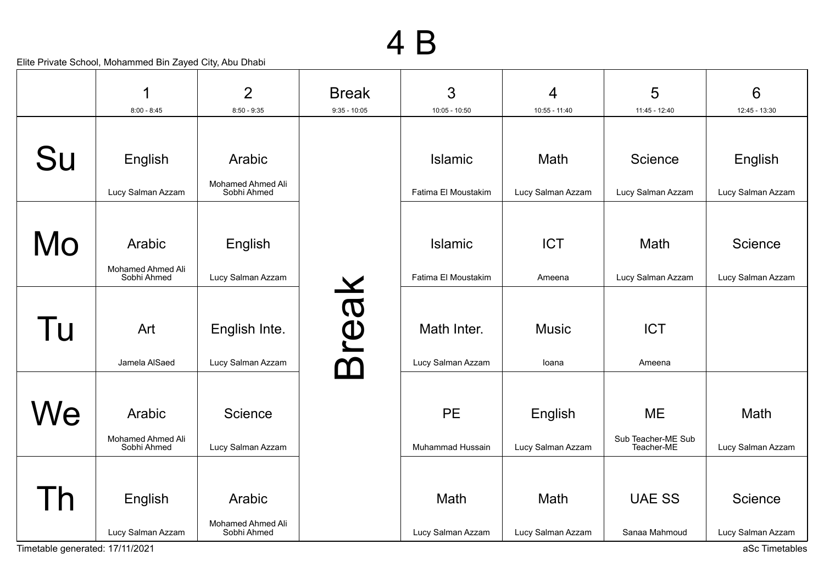|                                 | 1                                | $\overline{2}$                   | <b>Break</b>   | 3                   | 4                 | 5                                | $6\phantom{1}6$   |
|---------------------------------|----------------------------------|----------------------------------|----------------|---------------------|-------------------|----------------------------------|-------------------|
|                                 | $8:00 - 8:45$                    | $8:50 - 9:35$                    | $9:35 - 10:05$ | $10:05 - 10:50$     | 10:55 - 11:40     | 11:45 - 12:40                    | 12:45 - 13:30     |
| Su                              | English                          | Arabic                           |                | <b>Islamic</b>      | Math              | Science                          | English           |
|                                 | Lucy Salman Azzam                | Mohamed Ahmed Ali<br>Sobhi Ahmed |                | Fatima El Moustakim | Lucy Salman Azzam | Lucy Salman Azzam                | Lucy Salman Azzam |
|                                 |                                  |                                  |                |                     |                   |                                  |                   |
| Mo                              | Arabic                           | English                          |                | <b>Islamic</b>      | <b>ICT</b>        | Math                             | Science           |
|                                 | Mohamed Ahmed Ali<br>Sobhi Ahmed | Lucy Salman Azzam                |                | Fatima El Moustakim | Ameena            | Lucy Salman Azzam                | Lucy Salman Azzam |
|                                 |                                  |                                  |                |                     |                   |                                  |                   |
| Tu                              | Art                              | English Inte.                    | reak           | Math Inter.         | <b>Music</b>      | <b>ICT</b>                       |                   |
|                                 | Jamela AlSaed                    | Lucy Salman Azzam                |                | Lucy Salman Azzam   | loana             | Ameena                           |                   |
|                                 |                                  |                                  |                |                     |                   |                                  |                   |
| We                              | Arabic                           | Science                          |                | <b>PE</b>           | English           | <b>ME</b>                        | Math              |
|                                 | Mohamed Ahmed Ali<br>Sobhi Ahmed | Lucy Salman Azzam                |                | Muhammad Hussain    | Lucy Salman Azzam | Sub Teacher-ME Sub<br>Teacher-ME | Lucy Salman Azzam |
|                                 |                                  |                                  |                |                     |                   |                                  |                   |
| Th                              | English                          | Arabic                           |                | Math                | Math              | <b>UAE SS</b>                    | Science           |
|                                 | Lucy Salman Azzam                | Mohamed Ahmed Ali<br>Sobhi Ahmed |                | Lucy Salman Azzam   | Lucy Salman Azzam | Sanaa Mahmoud                    | Lucy Salman Azzam |
| Timetable generated: 17/11/2021 |                                  |                                  |                |                     |                   |                                  | aSc Timetables    |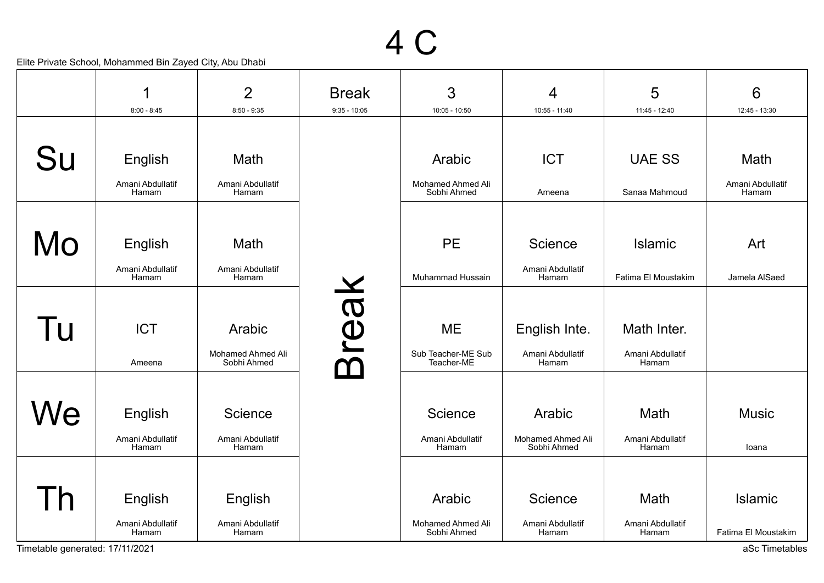|              | 1                         | $\overline{2}$                   | <b>Break</b>   | 3                                | $\overline{4}$                   | 5                         | 6                         |
|--------------|---------------------------|----------------------------------|----------------|----------------------------------|----------------------------------|---------------------------|---------------------------|
|              | $8:00 - 8:45$             | $8:50 - 9:35$                    | $9:35 - 10:05$ | $10:05 - 10:50$                  | $10:55 - 11:40$                  | 11:45 - 12:40             | 12:45 - 13:30             |
|              |                           |                                  |                |                                  |                                  |                           |                           |
| Su           | English                   | Math                             |                | Arabic                           | <b>ICT</b>                       | <b>UAE SS</b>             | Math                      |
|              | Amani Abdullatif<br>Hamam | Amani Abdullatif<br>Hamam        |                | Mohamed Ahmed Ali<br>Sobhi Ahmed | Ameena                           | Sanaa Mahmoud             | Amani Abdullatif<br>Hamam |
|              |                           |                                  |                |                                  |                                  |                           |                           |
| Mo           | English                   | Math                             |                | <b>PE</b>                        | Science                          | <b>Islamic</b>            | Art                       |
|              | Amani Abdullatif<br>Hamam | Amani Abdullatif<br>Hamam        |                | Muhammad Hussain                 | Amani Abdullatif<br>Hamam        | Fatima El Moustakim       | Jamela AlSaed             |
|              |                           |                                  |                |                                  |                                  |                           |                           |
| Tu           | <b>ICT</b>                | Arabic                           |                | <b>ME</b>                        | English Inte.                    | Math Inter.               |                           |
|              | Ameena                    | Mohamed Ahmed Ali<br>Sobhi Ahmed | <b>Break</b>   | Sub Teacher-ME Sub<br>Teacher-ME | Amani Abdullatif<br>Hamam        | Amani Abdullatif<br>Hamam |                           |
|              |                           |                                  |                |                                  |                                  |                           |                           |
| We           | English                   | Science                          |                | Science                          | Arabic                           | Math                      | <b>Music</b>              |
|              | Amani Abdullatif<br>Hamam | Amani Abdullatif<br>Hamam        |                | Amani Abdullatif<br>Hamam        | Mohamed Ahmed Ali<br>Sobhi Ahmed | Amani Abdullatif<br>Hamam | loana                     |
|              |                           |                                  |                |                                  |                                  |                           |                           |
| $\mathsf{h}$ | English                   | English                          |                | Arabic                           | Science                          | Math                      | <b>Islamic</b>            |
|              | Amani Abdullatif<br>Hamam | Amani Abdullatif<br>Hamam        |                | Mohamed Ahmed Ali<br>Sobhi Ahmed | Amani Abdullatif<br>Hamam        | Amani Abdullatif<br>Hamam | Fatima El Moustakim       |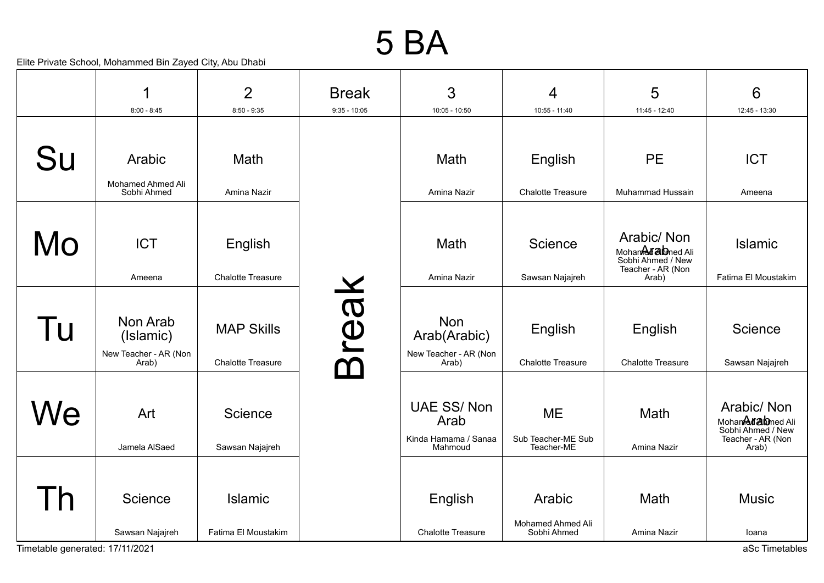#### 5 BA

| 1                           | $\overline{2}$                                                                    | <b>Break</b>   | 3                                                            | 4                                             | 5                                                                                 | 6                                                                                          |
|-----------------------------|-----------------------------------------------------------------------------------|----------------|--------------------------------------------------------------|-----------------------------------------------|-----------------------------------------------------------------------------------|--------------------------------------------------------------------------------------------|
| $8:00 - 8:45$               | $8:50 - 9:35$                                                                     | $9:35 - 10:05$ | $10:05 - 10:50$                                              | $10:55 - 11:40$                               | $11:45 - 12:40$                                                                   | 12:45 - 13:30                                                                              |
| Arabic<br>Mohamed Ahmed Ali | <b>Math</b>                                                                       |                | Math                                                         | English                                       | <b>PE</b>                                                                         | <b>ICT</b><br>Ameena                                                                       |
|                             |                                                                                   |                |                                                              |                                               |                                                                                   |                                                                                            |
| <b>ICT</b>                  | English<br><b>Chalotte Treasure</b>                                               |                | Math<br>Amina Nazir                                          | <b>Science</b>                                | Arabic/Non<br>Mohan <b>Afab</b> ned Ali<br>Sobhi Ahmed / New<br>Teacher - AR (Non | <b>Islamic</b><br>Fatima El Moustakim                                                      |
|                             |                                                                                   |                |                                                              |                                               |                                                                                   |                                                                                            |
| Non Arab<br>(Islamic)       | <b>MAP Skills</b>                                                                 |                | <b>Non</b><br>Arab(Arabic)                                   | English                                       | English                                                                           | Science                                                                                    |
| Arab)                       | <b>Chalotte Treasure</b>                                                          |                | Arab)                                                        | <b>Chalotte Treasure</b>                      | <b>Chalotte Treasure</b>                                                          | Sawsan Najajreh                                                                            |
| Art<br>Jamela AlSaed        | Science<br>Sawsan Najajreh                                                        |                | <b>UAE SS/Non</b><br>Arab<br>Kinda Hamama / Sanaa<br>Mahmoud | <b>ME</b><br>Sub Teacher-ME Sub<br>Teacher-ME | Math<br>Amina Nazir                                                               | Arabic/Non<br>Mohan <b>Adab</b> ned Ali<br>Sobhi Ahmed / New<br>Teacher - AR (Non<br>Arab) |
|                             |                                                                                   |                |                                                              |                                               |                                                                                   |                                                                                            |
| Science                     | <b>Islamic</b>                                                                    |                | English                                                      | Arabic                                        | Math                                                                              | <b>Music</b>                                                                               |
| Sawsan Najajreh             | Fatima El Moustakim                                                               |                | <b>Chalotte Treasure</b>                                     | Sobhi Ahmed                                   | Amina Nazir                                                                       | loana<br>aSc Timetables                                                                    |
|                             | Sobhi Ahmed<br>Ameena<br>New Teacher - AR (Non<br>Timetable generated: 17/11/2021 | Amina Nazir    | <b>Break</b>                                                 | Amina Nazir<br>New Teacher - AR (Non          | <b>Chalotte Treasure</b><br>Sawsan Najajreh<br>Mohamed Ahmed Ali                  | Muhammad Hussain<br>Arab)                                                                  |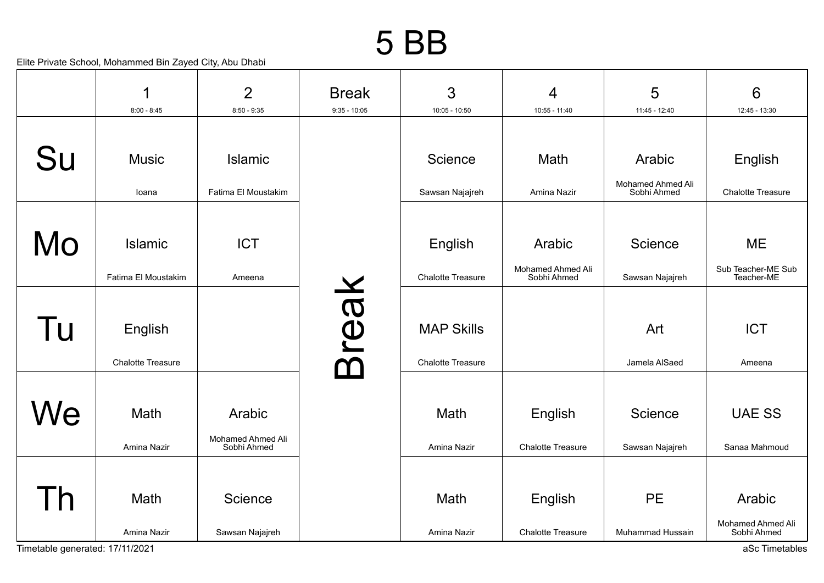#### 5 BB

|                                 | 1                                     | $\overline{2}$                             | <b>Break</b>                    | 3                                             | 4                                          | 5                                 | $6\phantom{1}$                                               |
|---------------------------------|---------------------------------------|--------------------------------------------|---------------------------------|-----------------------------------------------|--------------------------------------------|-----------------------------------|--------------------------------------------------------------|
|                                 | $8:00 - 8:45$                         | $8:50 - 9:35$                              | $9:35 - 10:05$                  | $10:05 - 10:50$                               | $10:55 - 11:40$                            | 11:45 - 12:40                     | 12:45 - 13:30                                                |
| Su                              | <b>Music</b>                          | <b>Islamic</b>                             |                                 | <b>Science</b>                                | Math                                       | Arabic                            | English                                                      |
|                                 | loana                                 | Fatima El Moustakim                        |                                 | Sawsan Najajreh                               | Amina Nazir                                | Mohamed Ahmed Ali<br>Sobhi Ahmed  | <b>Chalotte Treasure</b>                                     |
| Mo                              | <b>Islamic</b><br>Fatima El Moustakim | <b>ICT</b><br>Ameena                       |                                 | English<br><b>Chalotte Treasure</b>           | Arabic<br>Mohamed Ahmed Ali<br>Sobhi Ahmed | <b>Science</b><br>Sawsan Najajreh | <b>ME</b><br>Sub Teacher-ME Sub<br>Teacher-ME                |
| Tu                              | English<br><b>Chalotte Treasure</b>   |                                            | reak<br>$\overline{\mathsf{M}}$ | <b>MAP Skills</b><br><b>Chalotte Treasure</b> |                                            | Art<br>Jamela AlSaed              | <b>ICT</b><br>Ameena                                         |
| We                              | Math<br>Amina Nazir                   | Arabic<br>Mohamed Ahmed Ali<br>Sobhi Ahmed |                                 | Math<br>Amina Nazir                           | English<br><b>Chalotte Treasure</b>        | Science<br>Sawsan Najajreh        | <b>UAE SS</b><br>Sanaa Mahmoud                               |
| Timetable generated: 17/11/2021 | Math<br>Amina Nazir                   | Science<br>Sawsan Najajreh                 |                                 | Math<br>Amina Nazir                           | English<br><b>Chalotte Treasure</b>        | <b>PE</b><br>Muhammad Hussain     | Arabic<br>Mohamed Ahmed Ali<br>Sobhi Ahmed<br>aSc Timetables |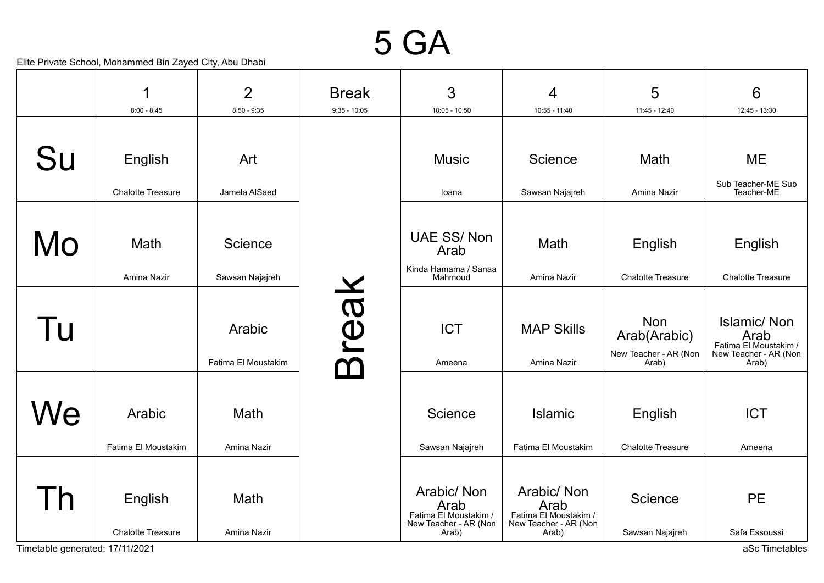#### 5 GA

|    | 1                                   | $\overline{2}$                | <b>Break</b>   | $\mathfrak{S}$                                                                 | 4                                                                              | 5                                                            | $6\phantom{1}6$                                                                       |
|----|-------------------------------------|-------------------------------|----------------|--------------------------------------------------------------------------------|--------------------------------------------------------------------------------|--------------------------------------------------------------|---------------------------------------------------------------------------------------|
|    | $8:00 - 8:45$                       | $8:50 - 9:35$                 | $9:35 - 10:05$ | $10:05 - 10:50$                                                                | 10:55 - 11:40                                                                  | 11:45 - 12:40                                                | 12:45 - 13:30                                                                         |
| Su | English                             | Art                           |                | <b>Music</b>                                                                   | Science                                                                        | Math                                                         | <b>ME</b>                                                                             |
|    | <b>Chalotte Treasure</b>            | Jamela AlSaed                 |                | loana                                                                          | Sawsan Najajreh                                                                | Amina Nazir                                                  | Sub Teacher-ME Sub<br>Teacher-ME                                                      |
| Mo | Math<br>Amina Nazir                 | Science<br>Sawsan Najajreh    |                | <b>UAE SS/Non</b><br>Arab<br>Kinda Hamama / Sanaa<br>Mahmoud                   | Math<br>Amina Nazir                                                            | English<br><b>Chalotte Treasure</b>                          | English<br><b>Chalotte Treasure</b>                                                   |
| Tu |                                     | Arabic<br>Fatima El Moustakim | reak           | <b>ICT</b><br>Ameena                                                           | <b>MAP Skills</b><br>Amina Nazir                                               | <b>Non</b><br>Arab(Arabic)<br>New Teacher - AR (Non<br>Arab) | <b>Islamic/Non</b><br>Arab<br>Fatima El Moustakim /<br>New Teacher - AR (Non<br>Arab) |
| We | Arabic<br>Fatima El Moustakim       | Math<br>Amina Nazir           |                | Science<br>Sawsan Najajreh                                                     | <b>Islamic</b><br>Fatima El Moustakim                                          | English<br><b>Chalotte Treasure</b>                          | <b>ICT</b><br>Ameena                                                                  |
|    | English<br><b>Chalotte Treasure</b> | Math<br>Amina Nazir           |                | Arabic/ Non<br>Arab<br>Fatima El Moustakim /<br>New Teacher - AR (Non<br>Arab) | Arabic/ Non<br>Arab<br>Fatima El Moustakim /<br>New Teacher - AR (Non<br>Arab) | Science<br>Sawsan Najajreh                                   | <b>PE</b><br>Safa Essoussi                                                            |